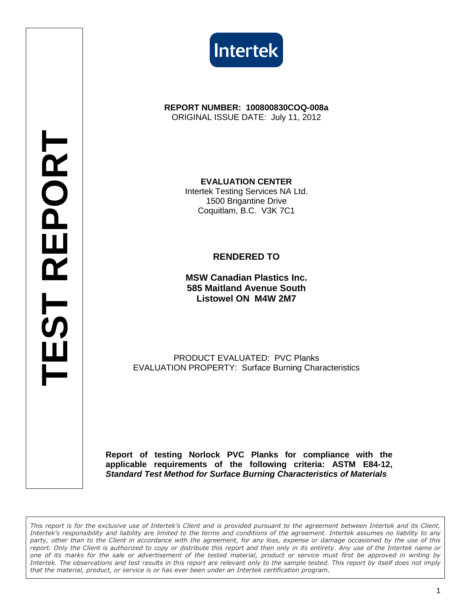



**REPORT NUMBER: 100800830COQ-008a**  ORIGINAL ISSUE DATE: July 11, 2012

> **EVALUATION CENTER**  Intertek Testing Services NA Ltd. 1500 Brigantine Drive Coquitlam, B.C. V3K 7C1

## **RENDERED TO**

**MSW Canadian Plastics Inc. 585 Maitland Avenue South Listowel ON M4W 2M7** 

PRODUCT EVALUATED: PVC Planks EVALUATION PROPERTY: Surface Burning Characteristics

**Report of testing Norlock PVC Planks for compliance with the applicable requirements of the following criteria: ASTM E84-12, Standard Test Method for Surface Burning Characteristics of Materials** 

This report is for the exclusive use of Intertek's Client and is provided pursuant to the agreement between Intertek and its Client. Intertek's responsibility and liability are limited to the terms and conditions of the agreement. Intertek assumes no liability to any party, other than to the Client in accordance with the agreement, for any loss, expense or damage occasioned by the use of this report. Only the Client is authorized to copy or distribute this report and then only in its entirety. Any use of the Intertek name or one of its marks for the sale or advertisement of the tested material, product or service must first be approved in writing by Intertek. The observations and test results in this report are relevant only to the sample tested. This report by itself does not imply that the material, product, or service is or has ever been under an Intertek certification program.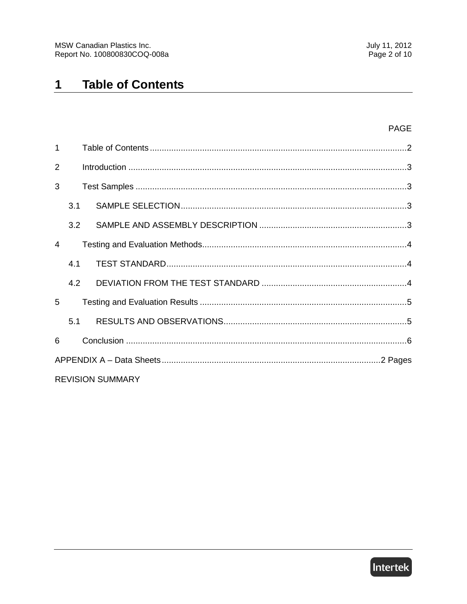#### **Table of Contents**  $\mathbf 1$

| $\mathbf{1}$            |     |  |  |  |
|-------------------------|-----|--|--|--|
| $\overline{2}$          |     |  |  |  |
| 3                       |     |  |  |  |
|                         | 3.1 |  |  |  |
|                         | 3.2 |  |  |  |
| 4                       |     |  |  |  |
|                         | 4.1 |  |  |  |
|                         | 4.2 |  |  |  |
| 5                       |     |  |  |  |
|                         | 5.1 |  |  |  |
| 6                       |     |  |  |  |
|                         |     |  |  |  |
| <b>REVISION SUMMARY</b> |     |  |  |  |

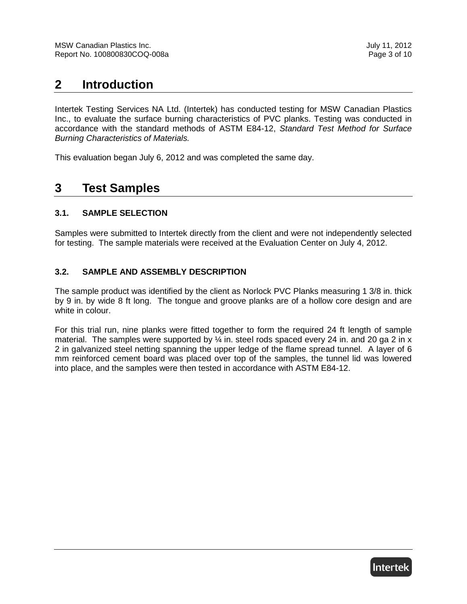# **2 Introduction**

Intertek Testing Services NA Ltd. (Intertek) has conducted testing for MSW Canadian Plastics Inc., to evaluate the surface burning characteristics of PVC planks. Testing was conducted in accordance with the standard methods of ASTM E84-12, Standard Test Method for Surface Burning Characteristics of Materials.

This evaluation began July 6, 2012 and was completed the same day.

## **3 Test Samples**

## **3.1. SAMPLE SELECTION**

Samples were submitted to Intertek directly from the client and were not independently selected for testing. The sample materials were received at the Evaluation Center on July 4, 2012.

## **3.2. SAMPLE AND ASSEMBLY DESCRIPTION**

The sample product was identified by the client as Norlock PVC Planks measuring 1 3/8 in. thick by 9 in. by wide 8 ft long. The tongue and groove planks are of a hollow core design and are white in colour.

For this trial run, nine planks were fitted together to form the required 24 ft length of sample material. The samples were supported by  $\frac{1}{4}$  in. steel rods spaced every 24 in. and 20 ga 2 in x 2 in galvanized steel netting spanning the upper ledge of the flame spread tunnel. A layer of 6 mm reinforced cement board was placed over top of the samples, the tunnel lid was lowered into place, and the samples were then tested in accordance with ASTM E84-12.

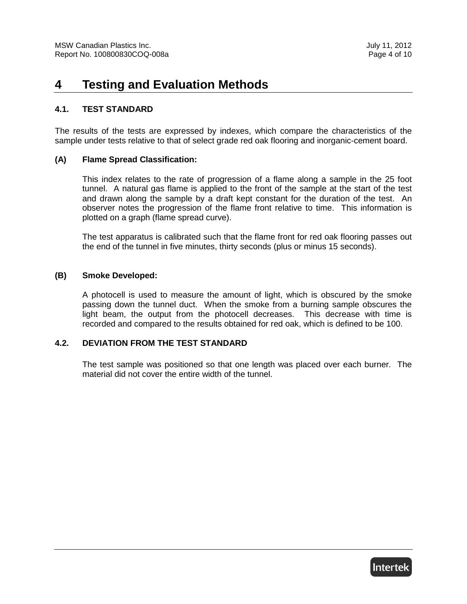# **4 Testing and Evaluation Methods**

#### **4.1. TEST STANDARD**

The results of the tests are expressed by indexes, which compare the characteristics of the sample under tests relative to that of select grade red oak flooring and inorganic-cement board.

#### **(A) Flame Spread Classification:**

This index relates to the rate of progression of a flame along a sample in the 25 foot tunnel. A natural gas flame is applied to the front of the sample at the start of the test and drawn along the sample by a draft kept constant for the duration of the test. An observer notes the progression of the flame front relative to time. This information is plotted on a graph (flame spread curve).

The test apparatus is calibrated such that the flame front for red oak flooring passes out the end of the tunnel in five minutes, thirty seconds (plus or minus 15 seconds).

#### **(B) Smoke Developed:**

A photocell is used to measure the amount of light, which is obscured by the smoke passing down the tunnel duct. When the smoke from a burning sample obscures the light beam, the output from the photocell decreases. This decrease with time is recorded and compared to the results obtained for red oak, which is defined to be 100.

#### **4.2. DEVIATION FROM THE TEST STANDARD**

The test sample was positioned so that one length was placed over each burner. The material did not cover the entire width of the tunnel.

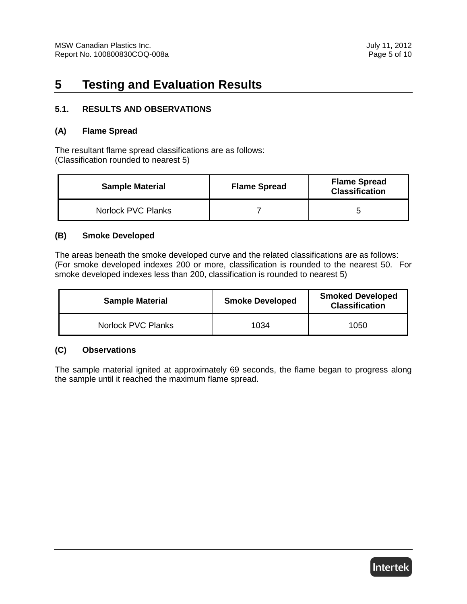# **5 Testing and Evaluation Results**

#### **5.1. RESULTS AND OBSERVATIONS**

#### **(A) Flame Spread**

The resultant flame spread classifications are as follows: (Classification rounded to nearest 5)

| <b>Sample Material</b> | <b>Flame Spread</b> | <b>Flame Spread</b><br><b>Classification</b> |
|------------------------|---------------------|----------------------------------------------|
| Norlock PVC Planks     |                     |                                              |

#### **(B) Smoke Developed**

The areas beneath the smoke developed curve and the related classifications are as follows: (For smoke developed indexes 200 or more, classification is rounded to the nearest 50. For smoke developed indexes less than 200, classification is rounded to nearest 5)

| <b>Sample Material</b> | <b>Smoke Developed</b> | <b>Smoked Developed</b><br><b>Classification</b> |
|------------------------|------------------------|--------------------------------------------------|
| Norlock PVC Planks     | 1034                   | 1050                                             |

#### **(C) Observations**

The sample material ignited at approximately 69 seconds, the flame began to progress along the sample until it reached the maximum flame spread.

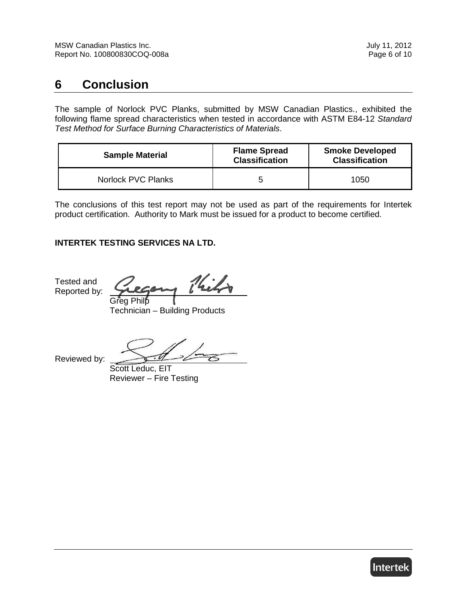# **6 Conclusion**

The sample of Norlock PVC Planks, submitted by MSW Canadian Plastics., exhibited the following flame spread characteristics when tested in accordance with ASTM E84-12 Standard Test Method for Surface Burning Characteristics of Materials.

| <b>Sample Material</b> | <b>Flame Spread</b><br><b>Classification</b> | <b>Smoke Developed</b><br><b>Classification</b> |
|------------------------|----------------------------------------------|-------------------------------------------------|
| Norlock PVC Planks     | ∽                                            | 1050                                            |

The conclusions of this test report may not be used as part of the requirements for Intertek product certification. Authority to Mark must be issued for a product to become certified.

## **INTERTEK TESTING SERVICES NA LTD.**

Tested and Reported by:

Kils Greg Philp

Technician – Building Products

Reviewed by:

Scott Leduc, EIT Reviewer – Fire Testing

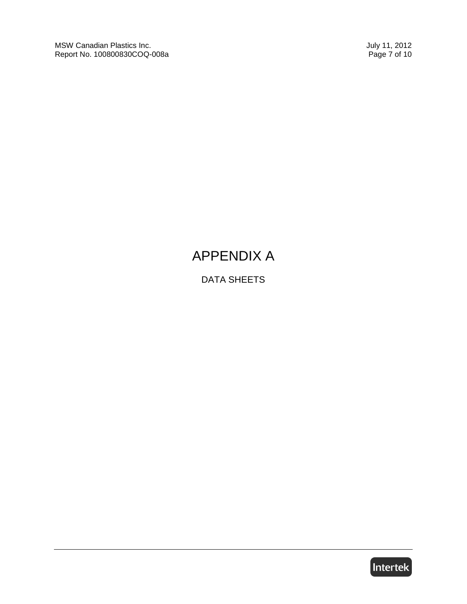MSW Canadian Plastics Inc.<br>
Report No. 100800830COQ-008a<br>
Page 7 of 10 Report No. 100800830COQ-008a

# APPENDIX A

DATA SHEETS

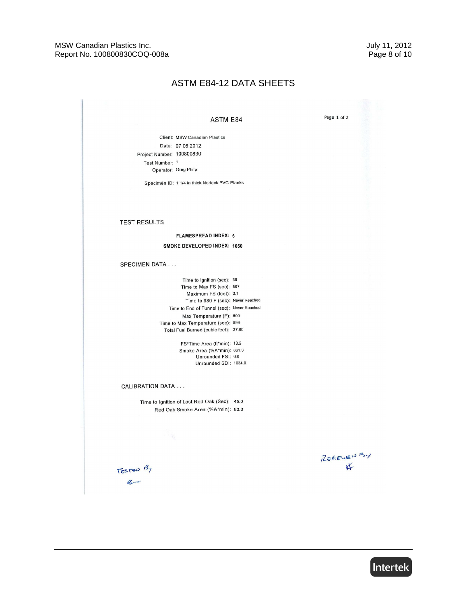#### **ASTM E84-12 DATA SHEETS**

#### ASTM E84

Page 1 of 2

Client: MSW Canadian Plastics Date: 07 06 2012 Project Number: 100800830 Test Number: 1 Operator: Greg Philp

Specimen ID: 1 1/4 in thick Norlock PVC Planks

#### **TEST RESULTS**

**FLAMESPREAD INDEX: 5** SMOKE DEVELOPED INDEX: 1050

#### SPECIMEN DATA . . .

Time to Ignition (sec): 69 Time to Max FS (sec): 507 Maximum FS (feet): 3.1 Time to 980 F (sec): Never Reached Time to End of Tunnel (sec): Never Reached Max Temperature (F): 500 Time to Max Temperature (sec): 599 Total Fuel Burned (cubic feet): 37.60

> FS\*Time Area (ft\*min): 13.2 Smoke Area (%A\*min): 861.3 Unrounded FSI: 6.8 Unrounded SDI: 1034.0

#### **CALIBRATION DATA...**

Time to Ignition of Last Red Oak (Sec): 45.0 Red Oak Smoke Area (%A\*min): 83.3

REVIEWED BY  $\bigvee$ 

TESTED BY  $a_{\sim}$ 

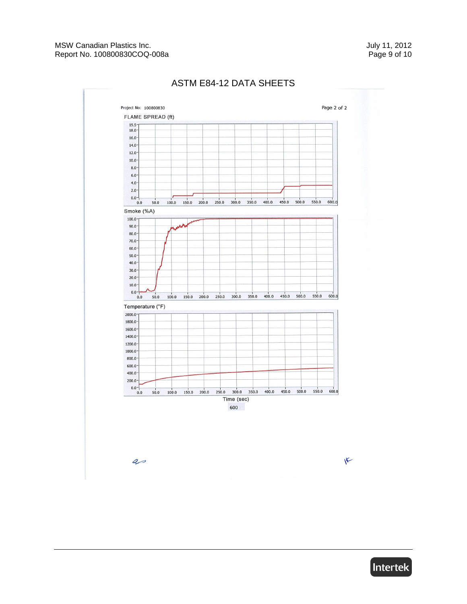

## ASTM E84-12 DATA SHEETS